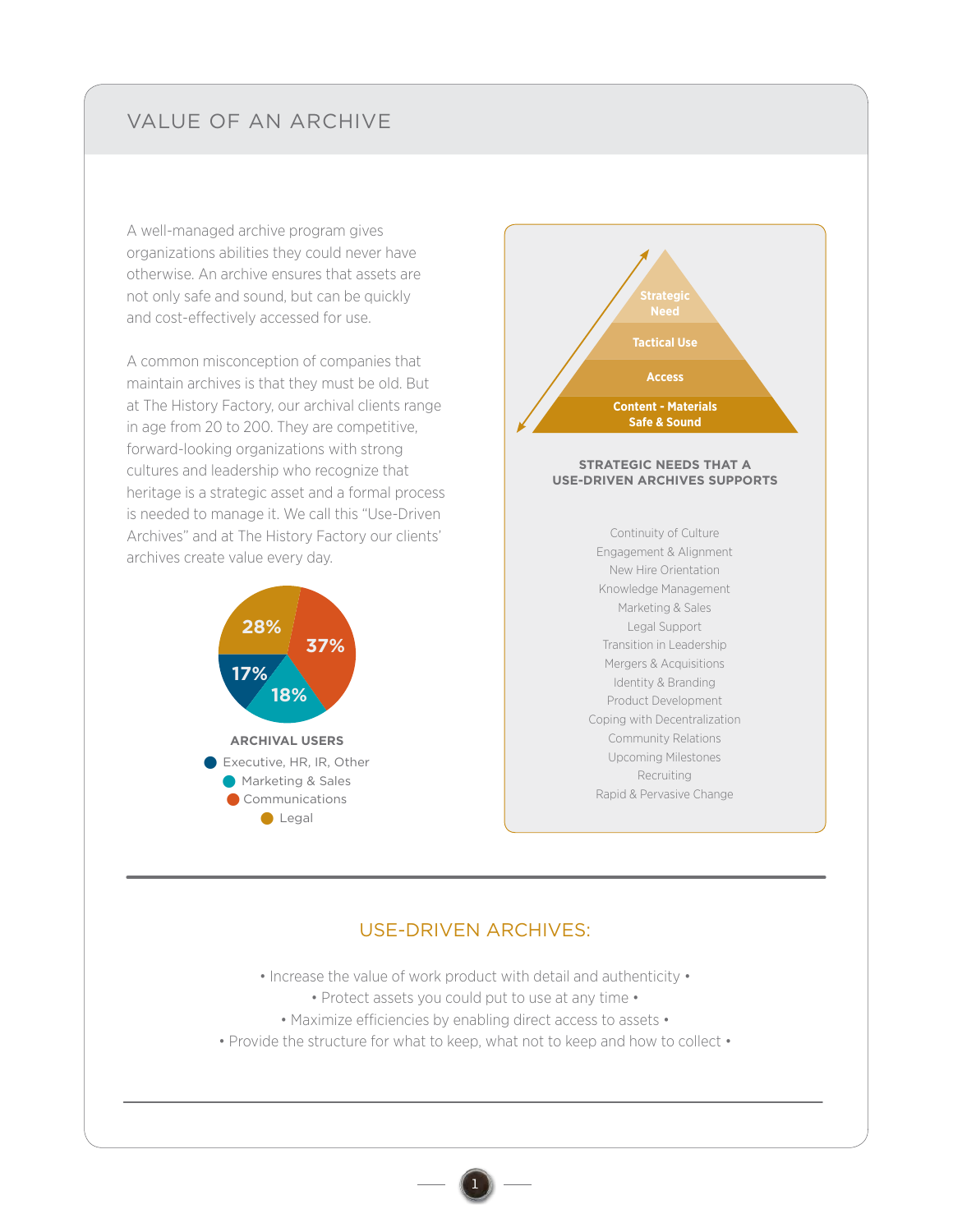## VALUE OF AN ARCHIVE

A well-managed archive program gives organizations abilities they could never have otherwise. An archive ensures that assets are not only safe and sound, but can be quickly and cost-effectively accessed for use.

A common misconception of companies that maintain archives is that they must be old. But at The History Factory, our archival clients range in age from 20 to 200. They are competitive, forward-looking organizations with strong cultures and leadership who recognize that heritage is a strategic asset and a formal process is needed to manage it. We call this "Use-Driven Archives" and at The History Factory our clients' archives create value every day.





## USE-DRIVEN ARCHIVES:

• Increase the value of work product with detail and authenticity •

- Protect assets you could put to use at any time •
- Maximize efficiencies by enabling direct access to assets •
- Provide the structure for what to keep, what not to keep and how to collect •

1